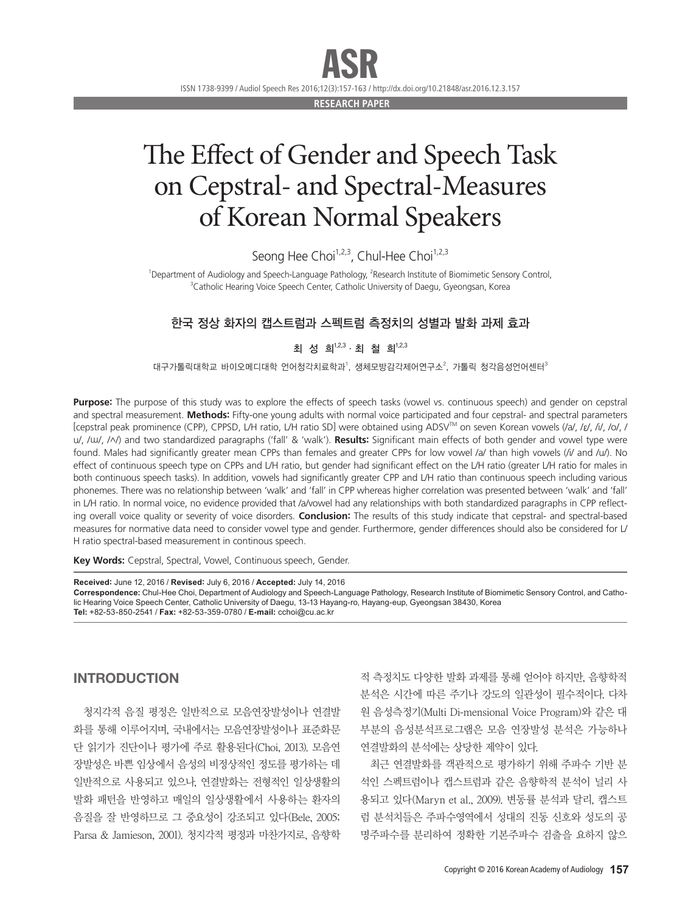ISSN 1738-9399 / Audiol Speech Res 2016;12(3):157-163 / http://dx.doi.org/10.21848/asr.2016.12.3.157 ASR

**RESEARCH PAPER**

## The Effect of Gender and Speech Task on Cepstral- and Spectral-Measures of Korean Normal Speakers

Seong Hee Choi<sup>1,2,3</sup>, Chul-Hee Choi<sup>1,2,3</sup>

<sup>1</sup>Department of Audiology and Speech-Language Pathology, <sup>2</sup>Research Institute of Biomimetic Sensory Control, <sup>3</sup>Catholic Hearing Voice Speech Center, Catholic University of Daegu, Gyeongsan, Korea

## 한국 정상 화자의 캡스트럼과 스펙트럼 측정치의 성별과 발화 과제 효과

최 성 희 1,2,3 · 최 철 희 1,2,3

대구가톨릭대학교 바이오메디대학 언어청각치료학과', 생체모방감각제어연구소<sup>2</sup>, 가톨릭 청각음성언어센터<sup>3</sup>

**Purpose:** The purpose of this study was to explore the effects of speech tasks (vowel vs. continuous speech) and gender on cepstral and spectral measurement. **Methods:** Fifty-one young adults with normal voice participated and four cepstral- and spectral parameters [cepstral peak prominence (CPP), CPPSD, L/H ratio, L/H ratio SD] were obtained using ADSV™ on seven Korean vowels (/a/, /ɛ/, /i/, /o/, / u/, /w/, /^/) and two standardized paragraphs ('fall' & 'walk'). **Results:** Significant main effects of both gender and vowel type were found. Males had significantly greater mean CPPs than females and greater CPPs for low vowel /a/ than high vowels (/i/ and /u/). No effect of continuous speech type on CPPs and L/H ratio, but gender had significant effect on the L/H ratio (greater L/H ratio for males in both continuous speech tasks). In addition, vowels had significantly greater CPP and L/H ratio than continuous speech including various phonemes. There was no relationship between 'walk' and 'fall' in CPP whereas higher correlation was presented between 'walk' and 'fall' in L/H ratio. In normal voice, no evidence provided that /a/vowel had any relationships with both standardized paragraphs in CPP reflecting overall voice quality or severity of voice disorders. **Conclusion:** The results of this study indicate that cepstral- and spectral-based measures for normative data need to consider vowel type and gender. Furthermore, gender differences should also be considered for L/ H ratio spectral-based measurement in continous speech.

Key Words: Cepstral, Spectral, Vowel, Continuous speech, Gender.

**Received:** June 12, 2016 / **Revised:** July 6, 2016 / **Accepted:** July 14, 2016 **Correspondence:** Chul-Hee Choi, Department of Audiology and Speech-Language Pathology, Research Institute of Biomimetic Sensory Control, and Catholic Hearing Voice Speech Center, Catholic University of Daegu, 13-13 Hayang-ro, Hayang-eup, Gyeongsan 38430, Korea **Tel:** +82-53-850-2541 / **Fax:** +82-53-359-0780 / **E-mail:** cchoi@cu.ac.kr

## INTRODUCTION

청지각적 음질 평정은 일반적으로 모음연장발성이나 연결발 화를 통해 이루어지며, 국내에서는 모음연장발성이나 표준화문 단 읽기가 진단이나 평가에 주로 활용된다(Choi, 2013). 모음연 장발성은 바쁜 임상에서 음성의 비정상적인 정도를 평가하는 데 일반적으로 사용되고 있으나, 연결발화는 전형적인 일상생활의 발화 패턴을 반영하고 매일의 일상생활에서 사용하는 환자의 음질을 잘 반영하므로 그 중요성이 강조되고 있다(Bele, 2005; Parsa & Jamieson, 2001). 청지각적 평정과 마찬가지로, 음향학 적 측정치도 다양한 발화 과제를 통해 얻어야 하지만, 음향학적 분석은 시간에 따른 주기나 강도의 일관성이 필수적이다. 다차 원 음성측정기(Multi Di-mensional Voice Program)와 같은 대 부분의 음성분석프로그램은 모음 연장발성 분석은 가능하나 연결발화의 분석에는 상당한 제약이 있다.

최근 연결발화를 객관적으로 평가하기 위해 주파수 기반 분 석인 스펙트럼이나 캡스트럼과 같은 음향학적 분석이 널리 사 용되고 있다(Maryn et al., 2009). 변동률 분석과 달리, 캡스트 럼 분석치들은 주파수영역에서 성대의 진동 신호와 성도의 공 명주파수를 분리하여 정확한 기본주파수 검출을 요하지 않으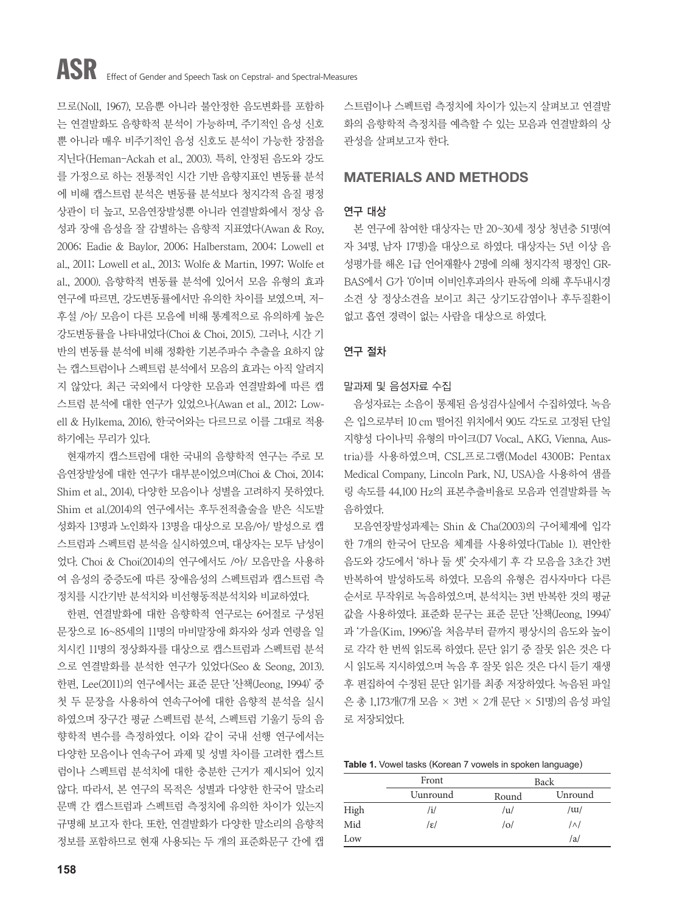므로(Noll, 1967), 모음뿐 아니라 불안정한 음도변화를 포함하 는 연결발화도 음향학적 분석이 가능하며, 주기적인 음성 신호 뿐 아니라 매우 비주기적인 음성 신호도 분석이 가능한 장점을 지닌다(Heman-Ackah et al., 2003). 특히, 안정된 음도와 강도 를 가정으로 하는 전통적인 시간 기반 음향지표인 변동률 분석 에 비해 캡스트럼 분석은 변동률 분석보다 청지각적 음질 평정 상관이 더 높고, 모음연장발성뿐 아니라 연결발화에서 정상 음 성과 장애 음성을 잘 감별하는 음향적 지표였다(Awan & Roy, 2006; Eadie & Baylor, 2006; Halberstam, 2004; Lowell et al., 2011; Lowell et al., 2013; Wolfe & Martin, 1997; Wolfe et al., 2000). 음향학적 변동률 분석에 있어서 모음 유형의 효과 연구에 따르면, 강도변동률에서만 유의한 차이를 보였으며, 저-후설 /아/ 모음이 다른 모음에 비해 통계적으로 유의하게 높은 강도변동률을 나타내었다(Choi & Choi, 2015). 그러나, 시간 기 반의 변동률 분석에 비해 정확한 기본주파수 추출을 요하지 않 는 캡스트럼이나 스펙트럼 분석에서 모음의 효과는 아직 알려지 지 않았다. 최근 국외에서 다양한 모음과 연결발화에 따른 캡 스트럼 분석에 대한 연구가 있었으나(Awan et al., 2012; Lowell & Hylkema, 2016), 한국어와는 다르므로 이를 그대로 적용 하기에는 무리가 있다.

현재까지 캡스트럼에 대한 국내의 음향학적 연구는 주로 모 음연장발성에 대한 연구가 대부분이었으며(Choi & Choi, 2014; Shim et al., 2014), 다양한 모음이나 성별을 고려하지 못하였다. Shim et al.(2014)의 연구에서는 후두전적출술을 받은 식도발 성화자 13명과 노인화자 13명을 대상으로 모음/아/ 발성으로 캡 스트럼과 스펙트럼 분석을 실시하였으며, 대상자는 모두 남성이 었다. Choi & Choi(2014)의 연구에서도 /아/ 모음만을 사용하 여 음성의 중증도에 따른 장애음성의 스펙트럼과 캡스트럼 측 정치를 시간기반 분석치와 비선형동적분석치와 비교하였다.

한편, 연결발화에 대한 음향학적 연구로는 6어절로 구성된 문장으로 16~85세의 11명의 마비말장애 화자와 성과 연령을 일 치시킨 11명의 정상화자를 대상으로 캡스트럼과 스펙트럼 분석 으로 연결발화를 분석한 연구가 있었다(Seo & Seong, 2013). 한편, Lee(2011)의 연구에서는 표준 문단 '산책(Jeong, 1994)' 중 첫 두 문장을 사용하여 연속구어에 대한 음향적 분석을 실시 하였으며 장구간 평균 스펙트럼 분석, 스펙트럼 기울기 등의 음 향학적 변수를 측정하였다. 이와 같이 국내 선행 연구에서는 다양한 모음이나 연속구어 과제 및 성별 차이를 고려한 캡스트 럼이나 스펙트럼 분석치에 대한 충분한 근거가 제시되어 있지 않다. 따라서, 본 연구의 목적은 성별과 다양한 한국어 말소리 문맥 간 캡스트럼과 스펙트럼 측정치에 유의한 차이가 있는지 규명해 보고자 한다. 또한, 연결발화가 다양한 말소리의 음향적 정보를 포함하므로 현재 사용되는 두 개의 표준화문구 간에 캡 스트럼이나 스펙트럼 측정치에 차이가 있는지 살펴보고 연결발 화의 음향학적 측정치를 예측할 수 있는 모음과 연결발화의 상 관성을 살펴보고자 한다.

## MATERIALS AND METHODS

### 연구 대상

본 연구에 참여한 대상자는 만 20~30세 정상 청년층 51명(여 자 34명, 남자 17명)을 대상으로 하였다. 대상자는 5년 이상 음 성평가를 해온 1급 언어재활사 2명에 의해 청지각적 평정인 GR-BAS에서 G가 '0'이며 이비인후과의사 판독에 의해 후두내시경 소견 상 정상소견을 보이고 최근 상기도감염이나 후두질환이 없고 흡연 경력이 없는 사람을 대상으로 하였다.

### 연구 절차

### 말과제 및 음성자료 수집

음성자료는 소음이 통제된 음성검사실에서 수집하였다. 녹음 은 입으로부터 10 cm 떨어진 위치에서 90도 각도로 고정된 단일 지향성 다이나믹 유형의 마이크(D7 Vocal., AKG, Vienna, Austria)를 사용하였으며, CSL프로그램(Model 4300B; Pentax Medical Company, Lincoln Park, NJ, USA)을 사용하여 샘플 링 속도를 44,100 Hz의 표본추출비율로 모음과 연결발화를 녹 음하였다.

모음연장발성과제는 Shin & Cha(2003)의 구어체계에 입각 한 7개의 한국어 단모음 체계를 사용하였다(Table 1). 편안한 음도와 강도에서 '하나 둘 셋' 숫자세기 후 각 모음을 3초간 3번 반복하여 발성하도록 하였다. 모음의 유형은 검사자마다 다른 순서로 무작위로 녹음하였으며, 분석치는 3번 반복한 것의 평균 값을 사용하였다. 표준화 문구는 표준 문단 '산책(Jeong, 1994)' 과 '가을(Kim, 1996)'을 처음부터 끝까지 평상시의 음도와 높이 로 각각 한 번씩 읽도록 하였다. 문단 읽기 중 잘못 읽은 것은 다 시 읽도록 지시하였으며 녹음 후 잘못 읽은 것은 다시 듣기 재생 후 편집하여 수정된 문단 읽기를 최종 저장하였다. 녹음된 파일 은 총 1,173개(7개 모음 × 3번 × 2개 문단 × 51명)의 음성 파일 로 저장되었다.

**Table 1.** Vowel tasks (Korean 7 vowels in spoken language)

|      | Front    |       | Back       |
|------|----------|-------|------------|
|      | Uunround | Round | Unround    |
| High | /i/      | /u/   | / $\mu$    |
| Mid  | /ɛ/      | /0/   | $/\wedge/$ |
| Low  |          |       | /a/        |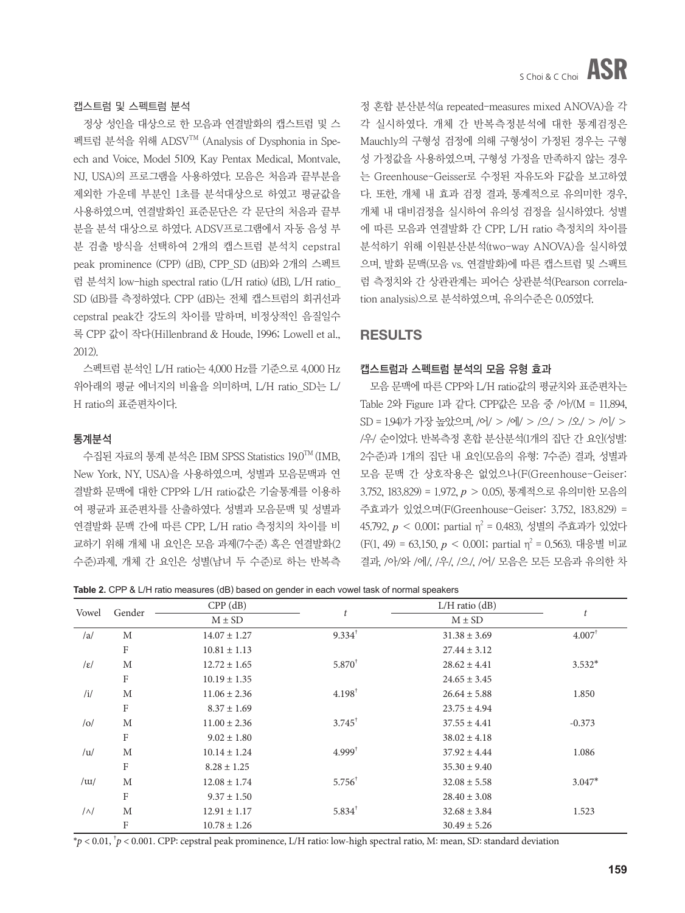### 캡스트럼 및 스펙트럼 분석

정상 성인을 대상으로 한 모음과 연결발화의 캡스트럼 및 스 펙트럼 분석을 위해 ADSVTM (Analysis of Dysphonia in Speech and Voice, Model 5109, Kay Pentax Medical, Montvale, NJ, USA)의 프로그램을 사용하였다. 모음은 처음과 끝부분을 제외한 가운데 부분인 1초를 분석대상으로 하였고 평균값을 사용하였으며, 연결발화인 표준문단은 각 문단의 처음과 끝부 분을 분석 대상으로 하였다. ADSV프로그램에서 자동 음성 부 분 검출 방식을 선택하여 2개의 캡스트럼 분석치 cepstral peak prominence (CPP) (dB), CPP\_SD (dB)와 2개의 스펙트 럼 분석치 low-high spectral ratio (L/H ratio) (dB), L/H ratio\_ SD (dB)를 측정하였다. CPP (dB)는 전체 캡스트럼의 회귀선과 cepstral peak간 강도의 차이를 말하며, 비정상적인 음질일수 록 CPP 값이 작다(Hillenbrand & Houde, 1996; Lowell et al., 2012).

스펙트럼 분석인 L/H ratio는 4,000 Hz를 기준으로 4,000 Hz 위아래의 평균 에너지의 비율을 의미하며, L/H ratio\_SD는 L/ H ratio의 표준편차이다.

### 통계분석

수집된 자료의 통계 분석은 IBM SPSS Statistics 19.0 TM (IMB, New York, NY, USA)을 사용하였으며, 성별과 모음문맥과 연 결발화 문맥에 대한 CPP와 L/H ratio값은 기술통계를 이용하 여 평균과 표준편차를 산출하였다. 성별과 모음문맥 및 성별과 연결발화 문맥 간에 따른 CPP, L/H ratio 측정치의 차이를 비 교하기 위해 개체 내 요인은 모음 과제(7수준) 혹은 연결발화(2 수준)과제, 개체 간 요인은 성별(남녀 두 수준)로 하는 반복측 정 혼합 분산분석(a repeated-measures mixed ANOVA)을 각 각 실시하였다. 개체 간 반복측정분석에 대한 통계검정은 Mauchly의 구형성 검정에 의해 구형성이 가정된 경우는 구형 성 가정값을 사용하였으며, 구형성 가정을 만족하지 않는 경우 는 Greenhouse-Geisser로 수정된 자유도와 F값을 보고하였 다. 또한, 개체 내 효과 검정 결과, 통계적으로 유의미한 경우, 개체 내 대비검정을 실시하여 유의성 검정을 실시하였다. 성별 에 따른 모음과 연결발화 간 CPP, L/H ratio 측정치의 차이를 분석하기 위해 이원분산분석(two-way ANOVA)을 실시하였 으며, 발화 문맥(모음 vs. 연결발화)에 따른 캡스트럼 및 스팩트 럼 측정치와 간 상관관계는 피어슨 상관분석(Pearson correlation analysis)으로 분석하였으며, 유의수준은 0.05였다.

## RESULTS

### 캡스트럼과 스펙트럼 분석의 모음 유형 효과

모음 문맥에 따른 CPP와 L/H ratio값의 평균치와 표준편차는 Table 2와 Figure 1과 같다. CPP값은 모음 중 /아/(M = 11.894, SD = 1.94)가 가장 높았으며,/어/ > /에/ > /으/ > /오/ > /이/ > /우/ 순이었다. 반복측정 혼합 분산분석(1개의 집단 간 요인(성별: 2수준)과 1개의 집단 내 요인(모음의 유형: 7수준) 결과, 성별과 모음 문맥 간 상호작용은 없었으나(F(Greenhouse-Geiser: 3.752, 183.829) = 1.972, *p* > 0.05), 통계적으로 유의미한 모음의 주효과가 있었으며(F(Greenhouse-Geiser: 3.752, 183.829) = 45.792, *p* < 0.001; partial η<sup>2</sup> = 0.483), 성별의 주효과가 있었다 (F(1, 49) = 63,150,  $p < 0.001$ ; partial  $\eta^2 = 0.563$ ). 대응별 비교 결과, /아/와 /에/, /우/, /으/, /어/ 모음은 모든 모음과 유의한 차

**Table 2.** CPP & L/H ratio measures (dB) based on gender in each vowel task of normal speakers

| Vowel           | Gender      | $CPP$ (dB)       | $\boldsymbol{t}$  | $L/H$ ratio ( $dB$ ) |                      |
|-----------------|-------------|------------------|-------------------|----------------------|----------------------|
|                 |             | $M \pm SD$       |                   | $M \pm SD$           |                      |
| /a/             | M           | $14.07 \pm 1.27$ | $9.334^{\dagger}$ | $31.38 \pm 3.69$     | $4.007$ <sup>†</sup> |
|                 | F           | $10.81 \pm 1.13$ |                   | $27.44 \pm 3.12$     |                      |
| $ \varepsilon $ | M           | $12.72 \pm 1.65$ | $5.870^{+}$       | $28.62 \pm 4.41$     | $3.532*$             |
|                 | F           | $10.19 \pm 1.35$ |                   | $24.65 \pm 3.45$     |                      |
| /i/             | M           | $11.06 \pm 2.36$ | $4.198^{\dagger}$ | $26.64 \pm 5.88$     | 1.850                |
|                 | $\rm F$     | $8.37 \pm 1.69$  |                   | $23.75 \pm 4.94$     |                      |
| o               | M           | $11.00 \pm 2.36$ | $3.745^{\dagger}$ | $37.55 \pm 4.41$     | $-0.373$             |
|                 | F           | $9.02 \pm 1.80$  |                   | $38.02 \pm 4.18$     |                      |
| /u/             | M           | $10.14 \pm 1.24$ | $4.999^{\dagger}$ | $37.92 \pm 4.44$     | 1.086                |
|                 | $\rm F$     | $8.28 \pm 1.25$  |                   | $35.30 \pm 9.40$     |                      |
| / $\mu$         | M           | $12.08 \pm 1.74$ | $5.756^{\dagger}$ | $32.08 \pm 5.58$     | $3.047*$             |
|                 | $\mathbf F$ | $9.37 \pm 1.50$  |                   | $28.40 \pm 3.08$     |                      |
| $/\wedge/$      | M           | $12.91 \pm 1.17$ | $5.834^{\dagger}$ | $32.68 \pm 3.84$     | 1.523                |
|                 | F           | $10.78 \pm 1.26$ |                   | $30.49 \pm 5.26$     |                      |

\**p* < 0.01, † *p* < 0.001. CPP: cepstral peak prominence, L/H ratio: low-high spectral ratio, M: mean, SD: standard deviation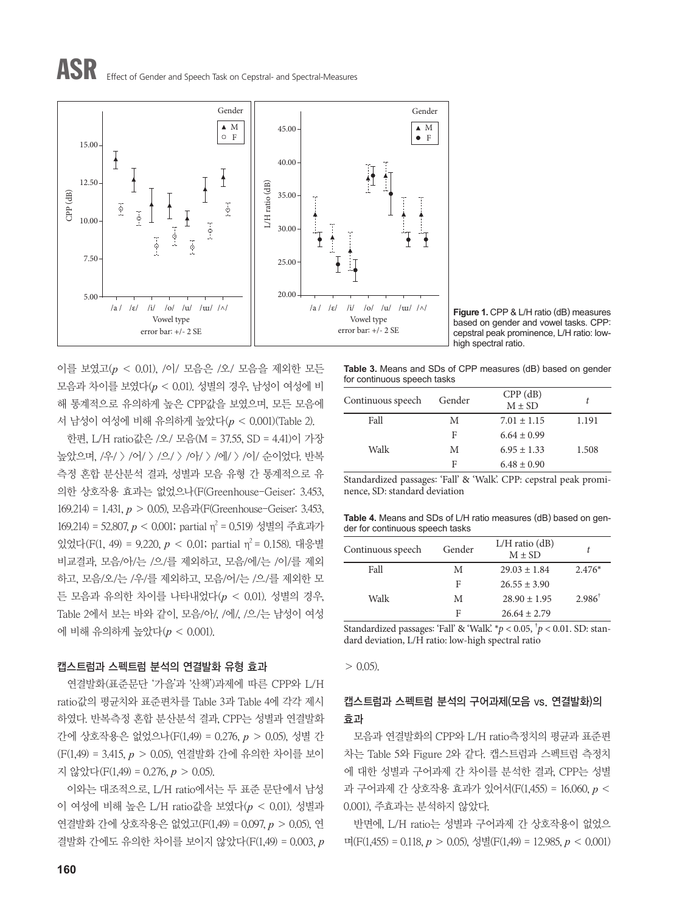# ASR Effect of Gender and Speech Task on Cepstral- and Spectral-Measures



**Figure 1.** CPP & L/H ratio (dB) measures based on gender and vowel tasks. CPP: cepstral peak prominence, L/H ratio: lowhigh spectral ratio.

이를 보였고(*p* < 0.01), /이/ 모음은 /오/ 모음을 제외한 모든 모음과 차이를 보였다(*p* < 0.01). 성별의 경우, 남성이 여성에 비 해 통계적으로 유의하게 높은 CPP값을 보였으며, 모든 모음에 서 남성이 여성에 비해 유의하게 높았다(*p* < 0.001)(Table 2).

한편, L/H ratio값은 /오/ 모음(M = 37.55, SD = 4.41)이 가장 높았으며, /우/ > /어/ > /으/ > /아/ > /에/ > /이/ 순이었다. 반복 측정 혼합 분산분석 결과, 성별과 모음 유형 간 통계적으로 유 의한 상호작용 효과는 없었으나(F(Greenhouse-Geiser: 3.453, 169.214) = 1.431, *p* > 0.05), 모음과(F(Greenhouse-Geiser: 3.453, 169.214) = 52.807, *p* < 0.001; partial η<sup>2</sup> = 0.519) 성별의 주효과가 있었다(F(1, 49) = 9.220,  $p < 0.01$ ; partial  $\eta^2 = 0.158$ ). 대응별 비교결과, 모음/아/는 /으/를 제외하고, 모음/에/는 /이/를 제외 하고, 모음/오/는 /우/를 제외하고, 모음/어/는 /으/를 제외한 모 든 모음과 유의한 차이를 나타내었다(*p* < 0.01). 성별의 경우, Table 2에서 보는 바와 같이, 모음/아/, /에/, /으/는 남성이 여성 에 비해 유의하게 높았다(*p* < 0.001).

## 캡스트럼과 스펙트럼 분석의 연결발화 유형 효과

연결발화(표준문단 '가을'과 '산책')과제에 따른 CPP와 L/H ratio값의 평균치와 표준편차를 Table 3과 Table 4에 각각 제시 하였다. 반복측정 혼합 분산분석 결과, CPP는 성별과 연결발화 간에 상호작용은 없었으나(F(1,49) = 0.276, *p* > 0.05), 성별 간 (F(1,49) = 3.415, *p* > 0.05), 연결발화 간에 유의한 차이를 보이 지 않았다(F(1,49) = 0.276, *p* > 0.05).

이와는 대조적으로, L/H ratio에서는 두 표준 문단에서 남성 이 여성에 비해 높은 L/H ratio값을 보였다(*p* < 0.01). 성별과 연결발화 간에 상호작용은 없었고(F(1,49) = 0.097, *p* > 0.05), 연 결발화 간에도 유의한 차이를 보이지 않았다(F(1,49) = 0.003, *p* **Table 3.** Means and SDs of CPP measures (dB) based on gender for continuous speech tasks

| Continuous speech | Gender | $CPP$ (dB)<br>$M \pm SD$ |       |
|-------------------|--------|--------------------------|-------|
| Fall              | M      | $7.01 \pm 1.15$          | 1.191 |
|                   | F      | $6.64 \pm 0.99$          |       |
| Walk              | М      | $6.95 \pm 1.33$          | 1.508 |
|                   | F      | $6.48 \pm 0.90$          |       |

Standardized passages: 'Fall' & 'Walk'. CPP: cepstral peak prominence, SD: standard deviation

**Table 4.** Means and SDs of L/H ratio measures (dB) based on gender for continuous speech tasks

| Continuous speech | Gender | $L/H$ ratio $(dB)$<br>$M \pm SD$ |                   |
|-------------------|--------|----------------------------------|-------------------|
| Fall              | M      | $29.03 \pm 1.84$                 | $2.476*$          |
|                   | F      | $26.55 \pm 3.90$                 |                   |
| Walk              | M      | $28.90 \pm 1.95$                 | $2.986^{\dagger}$ |
|                   | F      | $26.64 \pm 2.79$                 |                   |

Standardized passages: 'Fall' & 'Walk'. \**p* < 0.05, † *p* < 0.01. SD: standard deviation, L/H ratio: low-high spectral ratio

 $> 0.05$ ).

## 캡스트럼과 스펙트럼 분석의 구어과제(모음 vs. 연결발화)의 효과

모음과 연결발화의 CPP와 L/H ratio측정치의 평균과 표준편 차는 Table 5와 Figure 2와 같다. 캡스트럼과 스펙트럼 측정치 에 대한 성별과 구어과제 간 차이를 분석한 결과, CPP는 성별 과 구어과제 간 상호작용 효과가 있어서(F(1,455) = 16.060, *p* < 0.001), 주효과는 분석하지 않았다.

반면에, L/H ratio는 성별과 구어과제 간 상호작용이 없었으 며(F(1,455) = 0.118, *p* > 0.05), 성별(F(1,49) = 12.985, *p* < 0.001)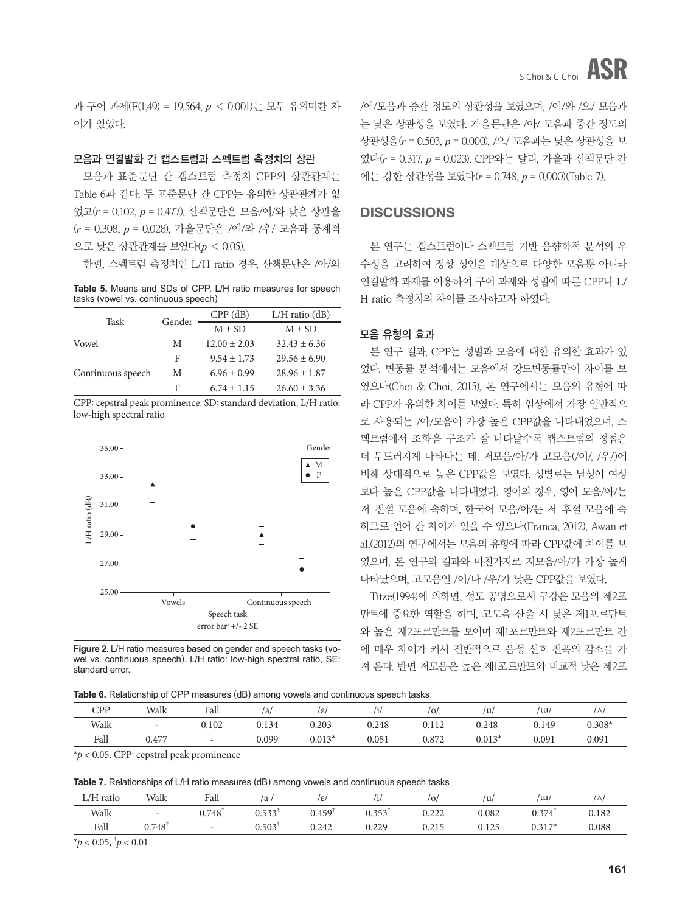과 구어 과제(F(1,49) = 19.564, *p* < 0.001)는 모두 유의미한 차 이가 있었다.

### 모음과 연결발화 간 캡스트럼과 스펙트럼 측정치의 상관

모음과 표준문단 간 캡스트럼 측정치 CPP의 상관관계는 Table 6과 같다. 두 표준문단 간 CPP는 유의한 상관관계가 없 었고(*r* = 0.102, *p* = 0.477), 산책문단은 모음/어/와 낮은 상관을 (*r* = 0.308, *p* = 0.028), 가을문단은 /에/와 /우/ 모음과 통계적 으로 낮은 상관관계를 보였다(*p* < 0.05).

한편, 스펙트럼 측정치인 L/H ratio 경우, 산책문단은 /아/와

**Table 5.** Means and SDs of CPP, L/H ratio measures for speech tasks (vowel vs. continuous speech)

| Task              | Gender | $CPP$ (dB)       | $L/H$ ratio $(dB)$ |  |
|-------------------|--------|------------------|--------------------|--|
|                   |        | $M \pm SD$       | $M \pm SD$         |  |
| Vowel             | M      | $12.00 \pm 2.03$ | $32.43 \pm 6.36$   |  |
|                   | F      | $9.54 \pm 1.73$  | $29.56 \pm 6.90$   |  |
| Continuous speech | М      | $6.96 \pm 0.99$  | $28.96 \pm 1.87$   |  |
|                   | F      | $6.74 \pm 1.15$  | $26.60 \pm 3.36$   |  |

CPP: cepstral peak prominence, SD: standard deviation, L/H ratio: low-high spectral ratio



**Figure 2.** L/H ratio measures based on gender and speech tasks (vowel vs. continuous speech). L/H ratio: low-high spectral ratio, SE: standard error.

/에/모음과 중간 정도의 상관성을 보였으며, /이/와 /으/ 모음과 는 낮은 상관성을 보였다. 가을문단은 /아/ 모음과 중간 정도의 상관성을(*r* = 0.503, *p* = 0.000), /으/ 모음과는 낮은 상관성을 보 였다(*r* = 0.317, *p* = 0.023). CPP와는 달리, 가을과 산책문단 간 에는 강한 상관성을 보였다(*r* = 0.748, *p* = 0.000)(Table 7).

## **DISCUSSIONS**

본 연구는 캡스트럼이나 스펙트럼 기반 음향학적 분석의 우 수성을 고려하여 정상 성인을 대상으로 다양한 모음뿐 아니라 연결발화 과제를 이용하여 구어 과제와 성별에 따른 CPP나 L/ H ratio 측정치의 차이를 조사하고자 하였다.

### 모음 유형의 효과

본 연구 결과, CPP는 성별과 모음에 대한 유의한 효과가 있 었다. 변동률 분석에서는 모음에서 강도변동률만이 차이를 보 였으나(Choi & Choi, 2015), 본 연구에서는 모음의 유형에 따 라 CPP가 유의한 차이를 보였다. 특히 임상에서 가장 일반적으 로 사용되는 /아/모음이 가장 높은 CPP값을 나타내었으며, 스 펙트럼에서 조화음 구조가 잘 나타날수록 캡스트럼의 정점은 더 두드러지게 나타나는 데, 저모음/아/가 고모음(/이/, /우/)에 비해 상대적으로 높은 CPP값을 보였다. 성별로는 남성이 여성 보다 높은 CPP값을 나타내었다. 영어의 경우, 영어 모음/아/는 저-전설 모음에 속하며, 한국어 모음/아/는 저-후설 모음에 속 하므로 언어 간 차이가 있을 수 있으나(Franca, 2012), Awan et al.(2012)의 연구에서는 모음의 유형에 따라 CPP값에 차이를 보 였으며, 본 연구의 결과와 마찬가지로 저모음/아/가 가장 높게 나타났으며, 고모음인 /이/나 /우/가 낮은 CPP값을 보였다.

Titze(1994)에 의하면, 성도 공명으로서 구강은 모음의 제2포 만트에 중요한 역할을 하며, 고모음 산출 시 낮은 제1포르만트 와 높은 제2포르만트를 보이며 제1포르만트와 제2포르만트 간 에 매우 차이가 커서 전반적으로 음성 신호 진폭의 감소를 가 져 온다. 반면 저모음은 높은 제1포르만트와 비교적 낮은 제2포

**Table 6.** Relationship of CPP measures (dB) among vowels and continuous speech tasks

|            |                                                                                 | ___                      | _____<br>$\sim$ |          |       |       |          |       |          |
|------------|---------------------------------------------------------------------------------|--------------------------|-----------------|----------|-------|-------|----------|-------|----------|
| <b>CPP</b> | Walk                                                                            | Fall                     | ۵ı,             | /ε       | 'i/   | / O   | /u       | /w    |          |
| Walk       | $\overline{\phantom{0}}$                                                        | 0.102                    | 0.134           | 0.203    | 0.248 | 0.112 | 0.248    | 0.149 | $0.308*$ |
| Fall       | 0.477                                                                           | $\overline{\phantom{0}}$ | 0.099           | $0.013*$ | 0.051 | 0.872 | $0.013*$ | 0.091 | 0.091    |
|            | the contract of the contract of the contract of the contract of the contract of |                          |                 |          |       |       |          |       |          |

\**p* < 0.05. CPP: cepstral peak prominence

**Table 7.** Relationships of L/H ratio measures (dB) among vowels and continuous speech tasks

| L/H ratio | Walk  | Fall          | a     | Iε,   | /1/                  | O,    | ΊU    | $\overline{\mathrm{u}}$ | $\wedge$ |
|-----------|-------|---------------|-------|-------|----------------------|-------|-------|-------------------------|----------|
| Walk      | -     | $0.748^\circ$ | 0.533 | 0.459 | $0.353$ <sup>1</sup> | 0.222 | 0.082 | 0.374                   | 0.182    |
| Fall      | 0.748 |               | 0.503 | 0.242 | 0.229                | 0.215 | 0.125 | $0.317*$                | 0.088    |

 $*$ *p* < 0.05,  $^{\dagger}$ *p* < 0.01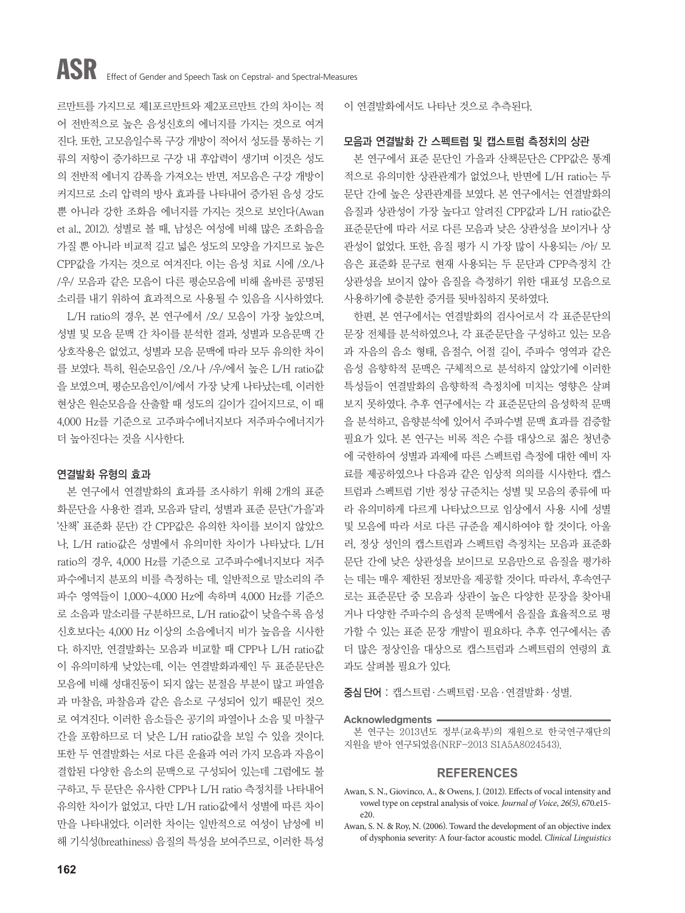르만트를 가지므로 제1포르만트와 제2포르만트 간의 차이는 적 어 전반적으로 높은 음성신호의 에너지를 가지는 것으로 여겨 진다. 또한, 고모음일수록 구강 개방이 적어서 성도를 통하는 기 류의 저항이 증가하므로 구강 내 후압력이 생기며 이것은 성도 의 전반적 에너지 감폭을 가져오는 반면, 저모음은 구강 개방이 커지므로 소리 압력의 방사 효과를 나타내어 증가된 음성 강도 뿐 아니라 강한 조화음 에너지를 가지는 것으로 보인다(Awan et al., 2012). 성별로 볼 때, 남성은 여성에 비해 많은 조화음을 가질 뿐 아니라 비교적 길고 넓은 성도의 모양을 가지므로 높은 CPP값을 가지는 것으로 여겨진다. 이는 음성 치료 시에 /오/나 /우/ 모음과 같은 모음이 다른 평순모음에 비해 올바른 공명된 소리를 내기 위하여 효과적으로 사용될 수 있음을 시사하였다.

L/H ratio의 경우, 본 연구에서 /오/ 모음이 가장 높았으며, 성별 및 모음 문맥 간 차이를 분석한 결과, 성별과 모음문맥 간 상호작용은 없었고, 성별과 모음 문맥에 따라 모두 유의한 차이 를 보였다. 특히, 원순모음인 /오/나 /우/에서 높은 L/H ratio값 을 보였으며, 평순모음인/이/에서 가장 낮게 나타났는데, 이러한 현상은 원순모음을 산출할 때 성도의 길이가 길어지므로, 이 때 4,000 Hz를 기준으로 고주파수에너지보다 저주파수에너지가 더 높아진다는 것을 시사한다.

## 연결발화 유형의 효과

본 연구에서 연결발화의 효과를 조사하기 위해 2개의 표준 화문단을 사용한 결과, 모음과 달리, 성별과 표준 문단('가을'과 '산책' 표준화 문단) 간 CPP값은 유의한 차이를 보이지 않았으 나, L/H ratio값은 성별에서 유의미한 차이가 나타났다. L/H ratio의 경우, 4,000 Hz를 기준으로 고주파수에너지보다 저주 파수에너지 분포의 비를 측정하는 데, 일반적으로 말소리의 주 파수 영역들이 1,000~4,000 Hz에 속하며 4,000 Hz를 기준으 로 소음과 말소리를 구분하므로, L/H ratio값이 낮을수록 음성 신호보다는 4,000 Hz 이상의 소음에너지 비가 높음을 시사한 다. 하지만, 연결발화는 모음과 비교할 때 CPP나 L/H ratio값 이 유의미하게 낮았는데, 이는 연결발화과제인 두 표준문단은 모음에 비해 성대진동이 되지 않는 분절음 부분이 많고 파열음 과 마찰음, 파찰음과 같은 음소로 구성되어 있기 때문인 것으 로 여겨진다. 이러한 음소들은 공기의 파열이나 소음 및 마찰구 간을 포함하므로 더 낮은 L/H ratio값을 보일 수 있을 것이다. 또한 두 연결발화는 서로 다른 운율과 여러 가지 모음과 자음이 결합된 다양한 음소의 문맥으로 구성되어 있는데 그럼에도 불 구하고, 두 문단은 유사한 CPP나 L/H ratio 측정치를 나타내어 유의한 차이가 없었고, 다만 L/H ratio값에서 성별에 따른 차이 만을 나타내었다. 이러한 차이는 일반적으로 여성이 남성에 비 해 기식성(breathiness) 음질의 특성을 보여주므로, 이러한 특성

이 연결발화에서도 나타난 것으로 추측된다.

## 모음과 연결발화 간 스펙트럼 및 캡스트럼 측정치의 상관

본 연구에서 표준 문단인 가을과 산책문단은 CPP값은 통계 적으로 유의미한 상관관계가 없었으나, 반면에 L/H ratio는 두 문단 간에 높은 상관관계를 보였다. 본 연구에서는 연결발화의 음질과 상관성이 가장 높다고 알려진 CPP값과 L/H ratio값은 표준문단에 따라 서로 다른 모음과 낮은 상관성을 보이거나 상 관성이 없었다. 또한, 음질 평가 시 가장 많이 사용되는 /아/ 모 음은 표준화 문구로 현재 사용되는 두 문단과 CPP측정치 간 상관성을 보이지 않아 음질을 측정하기 위한 대표성 모음으로 사용하기에 층분한 증거를 뒷바침하지 못하였다.

한편, 본 연구에서는 연결발화의 검사어로서 각 표준문단의 문장 전체를 분석하였으나, 각 표준문단을 구성하고 있는 모음 과 자음의 음소 형태, 음절수, 어절 길이, 주파수 영역과 같은 음성 음향학적 문맥은 구체적으로 분석하지 않았기에 이러한 특성들이 연결발화의 음향학적 측정치에 미치는 영향은 살펴 보지 못하였다. 추후 연구에서는 각 표준문단의 음성학적 문맥 을 분석하고, 음향분석에 있어서 주파수별 문맥 효과를 검증할 필요가 있다. 본 연구는 비록 적은 수를 대상으로 젊은 청년층 에 국한하여 성별과 과제에 따른 스펙트럼 측정에 대한 예비 자 료를 제공하였으나 다음과 같은 임상적 의의를 시사한다. 캡스 트럼과 스펙트럼 기반 정상 규준치는 성별 및 모음의 종류에 따 라 유의미하게 다르게 나타났으므로 임상에서 사용 시에 성별 및 모음에 따라 서로 다른 규준을 제시하여야 할 것이다. 아울 러, 정상 성인의 캡스트럼과 스펙트럼 측정치는 모음과 표준화 문단 간에 낮은 상관성을 보이므로 모음만으로 음질을 평가하 는 데는 매우 제한된 정보만을 제공할 것이다. 따라서, 후속연구 로는 표준문단 중 모음과 상관이 높은 다양한 문장을 찾아내 거나 다양한 주파수의 음성적 문맥에서 음질을 효율적으로 평 가할 수 있는 표준 문장 개발이 필요하다. 추후 연구에서는 좀 더 많은 정상인을 대상으로 캡스트럼과 스펙트럼의 연령의 효 과도 살펴볼 필요가 있다.

증심 단어 : 캡스트럼·스펙트럼·모음·연결발화·성별.

#### **Acknowledgments**

본 연구는 2013년도 정부(교육부)의 재원으로 한국연구재단의 지원을 받아 연구되었음(NRF-2013 S1A5A8024543).

### **REFERENCES**

- Awan, S. N., Giovinco, A., & Owens, J. (2012). Effects of vocal intensity and vowel type on cepstral analysis of voice. *Journal of Voice*, *26(5)*, 670.e15 e20.
- Awan, S. N. & Roy, N. (2006). Toward the development of an objective index of dysphonia severity: A four-factor acoustic model. *Clinical Linguistics*